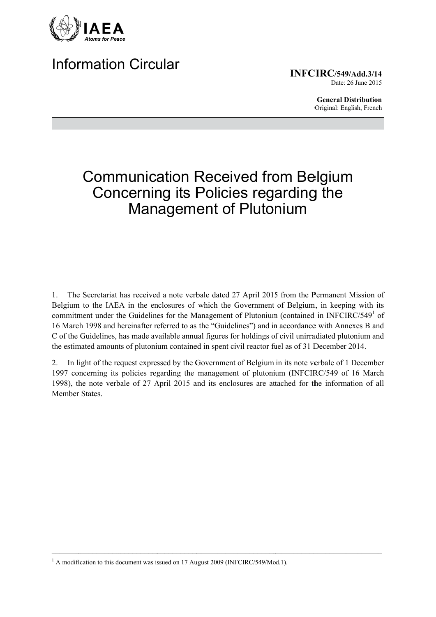

# **Information Circular**

**INFCIRC/549/Add.3/14** Date: 26 June 2015

> **General Distribution** Original: English, French

# **Communication Received from Belgium** Concerning its Policies regarding the **Management of Plutonium**

The Secretariat has received a note verbale dated 27 April 2015 from the Permanent Mission of 1. Belgium to the IAEA in the enclosures of which the Government of Belgium, in keeping with its commitment under the Guidelines for the Management of Plutonium (contained in INFCIRC/549<sup>1</sup> of 16 March 1998 and hereinafter referred to as the "Guidelines") and in accordance with Annexes B and C of the Guidelines, has made available annual figures for holdings of civil unirradiated plutonium and the estimated amounts of plutonium contained in spent civil reactor fuel as of 31 December 2014.

In light of the request expressed by the Government of Belgium in its note verbale of 1 December 2. 1997 concerning its policies regarding the management of plutonium (INFCIRC/549 of 16 March 1998), the note verbale of 27 April 2015 and its enclosures are attached for the information of all **Member States** 

<sup>&</sup>lt;sup>1</sup> A modification to this document was issued on 17 August 2009 (INFCIRC/549/Mod.1).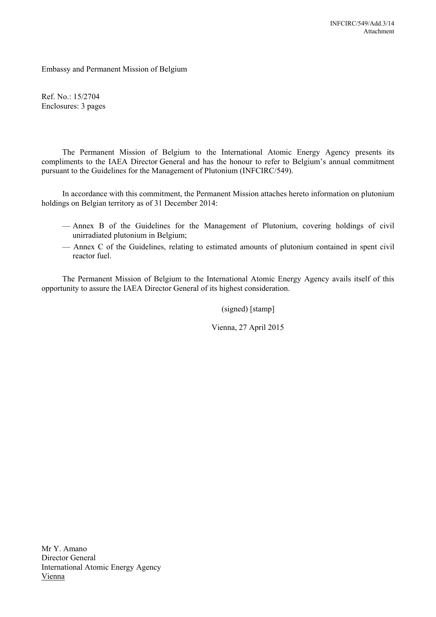Embassy and Permanent Mission of Belgium

Ref. No.: 15/2704 Enclosures: 3 pages

The Permanent Mission of Belgium to the International Atomic Energy Agency presents its compliments to the IAEA Director General and has the honour to refer to Belgium's annual commitment pursuant to the Guidelines for the Management of Plutonium (INFCIRC/549).

In accordance with this commitment, the Permanent Mission attaches hereto information on plutonium holdings on Belgian territory as of 31 December 2014:

- Annex B of the Guidelines for the Management of Plutonium, covering holdings of civil unirradiated plutonium in Belgium;
- Annex C of the Guidelines, relating to estimated amounts of plutonium contained in spent civil reactor fuel.

The Permanent Mission of Belgium to the International Atomic Energy Agency avails itself of this opportunity to assure the IAEA Director General of its highest consideration.

(signed) [stamp]

Vienna, 27 April 2015

Mr Y. Amano Director General International Atomic Energy Agency Vienna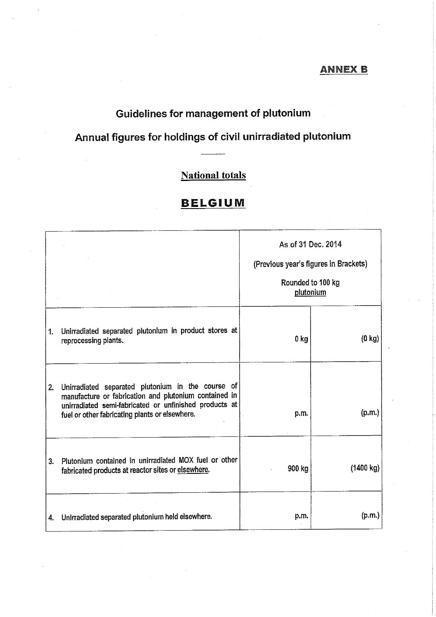#### <u>ANNEX B</u>

## Guidelines for management of plutonium

## Annual figures for holdings of civil unirradiated plutonium

## **National totals**

## **BELGIUM**

|    |                                                                                                                                                                                                                        | As of 31 Dec. 2014<br>(Previous year's figures in Brackets)<br>Rounded to 100 kg<br>plutonium |                     |
|----|------------------------------------------------------------------------------------------------------------------------------------------------------------------------------------------------------------------------|-----------------------------------------------------------------------------------------------|---------------------|
| 1. | Unirradiated separated plutonium in product stores at<br>reprocessing plants.                                                                                                                                          | 0 kg                                                                                          | $(0 \text{ kg})$    |
| 2. | Unirradiated separated plutonium in the course of<br>manufacture or fabrication and plutonium contained in<br>unirradiated semi-fabricated or unfinished products at<br>fuel or other fabricating plants or elsewhere. | p.m.                                                                                          | (p,m)               |
| 3. | Plutonium contained in unirradiated MOX fuel or other<br>fabricated products at reactor sites or elsewhere.                                                                                                            | 900 kg                                                                                        | $(1400 \text{ kg})$ |
| 4. | Unirradiated separated plutonium held elsewhere.                                                                                                                                                                       | p.m.                                                                                          | (p.m.)              |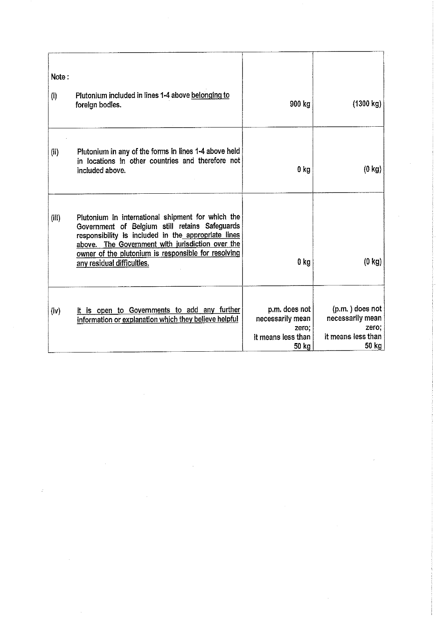| Note:<br>$\left( i\right)$ | Plutonium included in lines 1-4 above belonging to<br>foreign bodies.                                                                                                                                                                                                                               | 900 kg                                                                    | (1300 kg)                                                                   |
|----------------------------|-----------------------------------------------------------------------------------------------------------------------------------------------------------------------------------------------------------------------------------------------------------------------------------------------------|---------------------------------------------------------------------------|-----------------------------------------------------------------------------|
| (ii)                       | Plutonium in any of the forms in lines 1-4 above held<br>in locations in other countries and therefore not<br>included above.                                                                                                                                                                       | 0 <sub>kg</sub>                                                           | $(0 \text{ kg})$                                                            |
| (iii)                      | Plutonium in international shipment for which the<br>Government of Belgium still retains Safeguards<br>responsibility is included in the appropriate lines<br>above. The Government with jurisdiction over the<br>owner of the plutonium is responsible for resolving<br>any residual difficulties. | 0 <sub>kg</sub>                                                           | $(0 \text{ kg})$                                                            |
| (iv)                       | It is open to Governments to add any further<br>information or explanation which they believe helpful                                                                                                                                                                                               | p.m. does not<br>necessarily mean<br>zero:<br>it means less than<br>50 kg | (p.m.) does not<br>necessarily mean<br>zero;<br>it means less than<br>50 kg |

 $\label{eq:2.1} \mathcal{L}(\mathcal{L}(\mathcal{L})) = \mathcal{L}(\mathcal{L}(\mathcal{L})) = \mathcal{L}(\mathcal{L}(\mathcal{L})) = \mathcal{L}(\mathcal{L}(\mathcal{L})) = \mathcal{L}(\mathcal{L}(\mathcal{L})) = \mathcal{L}(\mathcal{L}(\mathcal{L})) = \mathcal{L}(\mathcal{L}(\mathcal{L})) = \mathcal{L}(\mathcal{L}(\mathcal{L})) = \mathcal{L}(\mathcal{L}(\mathcal{L})) = \mathcal{L}(\mathcal{L}(\mathcal{L})) = \mathcal{L}(\mathcal{L}(\mathcal{L})) = \math$ 

 $\dot{\varepsilon}$ 

 $\hat{\boldsymbol{\beta}}$ 

 $\sim$   $\sim$ 

 $\label{eq:2} \frac{1}{\sqrt{2}}\left(\frac{1}{\sqrt{2}}\right)^2\frac{1}{2}\left(\frac{1}{\sqrt{2}}\right)^2$ 

 $\sim 10^{-1}$